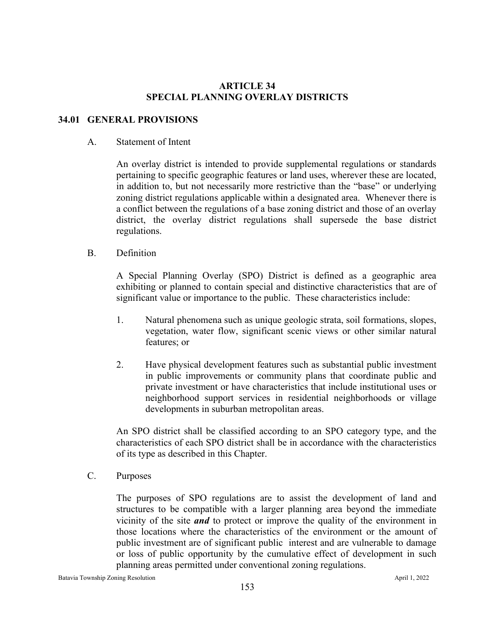#### **ARTICLE 34 SPECIAL PLANNING OVERLAY DISTRICTS**

### **34.01 GENERAL PROVISIONS**

#### A. Statement of Intent

An overlay district is intended to provide supplemental regulations or standards pertaining to specific geographic features or land uses, wherever these are located, in addition to, but not necessarily more restrictive than the "base" or underlying zoning district regulations applicable within a designated area. Whenever there is a conflict between the regulations of a base zoning district and those of an overlay district, the overlay district regulations shall supersede the base district regulations.

#### B. Definition

A Special Planning Overlay (SPO) District is defined as a geographic area exhibiting or planned to contain special and distinctive characteristics that are of significant value or importance to the public. These characteristics include:

- 1. Natural phenomena such as unique geologic strata, soil formations, slopes, vegetation, water flow, significant scenic views or other similar natural features; or
- 2. Have physical development features such as substantial public investment in public improvements or community plans that coordinate public and private investment or have characteristics that include institutional uses or neighborhood support services in residential neighborhoods or village developments in suburban metropolitan areas.

An SPO district shall be classified according to an SPO category type, and the characteristics of each SPO district shall be in accordance with the characteristics of its type as described in this Chapter.

C. Purposes

The purposes of SPO regulations are to assist the development of land and structures to be compatible with a larger planning area beyond the immediate vicinity of the site *and* to protect or improve the quality of the environment in those locations where the characteristics of the environment or the amount of public investment are of significant public interest and are vulnerable to damage or loss of public opportunity by the cumulative effect of development in such planning areas permitted under conventional zoning regulations.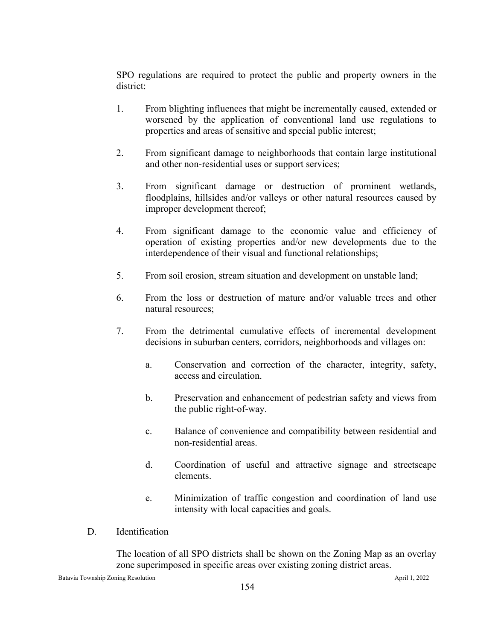SPO regulations are required to protect the public and property owners in the district:

- 1. From blighting influences that might be incrementally caused, extended or worsened by the application of conventional land use regulations to properties and areas of sensitive and special public interest;
- 2. From significant damage to neighborhoods that contain large institutional and other non-residential uses or support services;
- 3. From significant damage or destruction of prominent wetlands, floodplains, hillsides and/or valleys or other natural resources caused by improper development thereof;
- 4. From significant damage to the economic value and efficiency of operation of existing properties and/or new developments due to the interdependence of their visual and functional relationships;
- 5. From soil erosion, stream situation and development on unstable land;
- 6. From the loss or destruction of mature and/or valuable trees and other natural resources;
- 7. From the detrimental cumulative effects of incremental development decisions in suburban centers, corridors, neighborhoods and villages on:
	- a. Conservation and correction of the character, integrity, safety, access and circulation.
	- b. Preservation and enhancement of pedestrian safety and views from the public right-of-way.
	- c. Balance of convenience and compatibility between residential and non-residential areas.
	- d. Coordination of useful and attractive signage and streetscape elements.
	- e. Minimization of traffic congestion and coordination of land use intensity with local capacities and goals.
- D. Identification

The location of all SPO districts shall be shown on the Zoning Map as an overlay zone superimposed in specific areas over existing zoning district areas.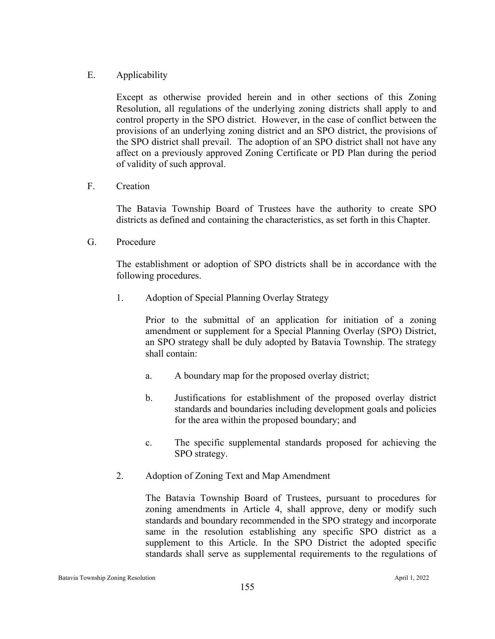## E. Applicability

Except as otherwise provided herein and in other sections of this Zoning Resolution, all regulations of the underlying zoning districts shall apply to and control property in the SPO district. However, in the case of conflict between the provisions of an underlying zoning district and an SPO district, the provisions of the SPO district shall prevail. The adoption of an SPO district shall not have any affect on a previously approved Zoning Certificate or PD Plan during the period of validity of such approval.

F. Creation

The Batavia Township Board of Trustees have the authority to create SPO districts as defined and containing the characteristics, as set forth in this Chapter.

G. Procedure

The establishment or adoption of SPO districts shall be in accordance with the following procedures.

1. Adoption of Special Planning Overlay Strategy

Prior to the submittal of an application for initiation of a zoning amendment or supplement for a Special Planning Overlay (SPO) District, an SPO strategy shall be duly adopted by Batavia Township. The strategy shall contain:

- a. A boundary map for the proposed overlay district;
- b. Justifications for establishment of the proposed overlay district standards and boundaries including development goals and policies for the area within the proposed boundary; and
- c. The specific supplemental standards proposed for achieving the SPO strategy.
- 2. Adoption of Zoning Text and Map Amendment

The Batavia Township Board of Trustees, pursuant to procedures for zoning amendments in Article 4, shall approve, deny or modify such standards and boundary recommended in the SPO strategy and incorporate same in the resolution establishing any specific SPO district as a supplement to this Article. In the SPO District the adopted specific standards shall serve as supplemental requirements to the regulations of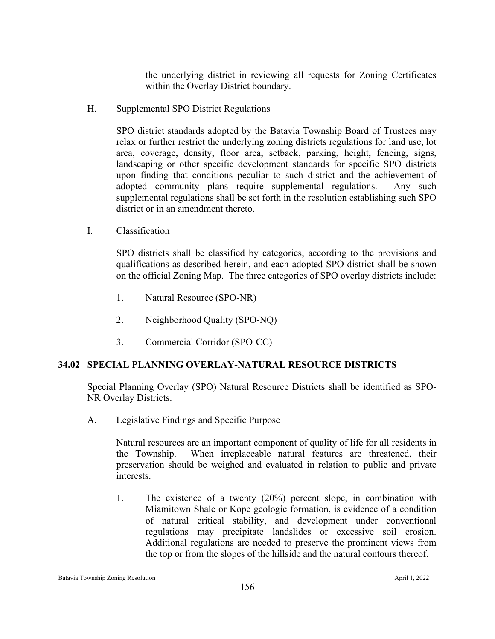the underlying district in reviewing all requests for Zoning Certificates within the Overlay District boundary.

H. Supplemental SPO District Regulations

SPO district standards adopted by the Batavia Township Board of Trustees may relax or further restrict the underlying zoning districts regulations for land use, lot area, coverage, density, floor area, setback, parking, height, fencing, signs, landscaping or other specific development standards for specific SPO districts upon finding that conditions peculiar to such district and the achievement of adopted community plans require supplemental regulations. Any such supplemental regulations shall be set forth in the resolution establishing such SPO district or in an amendment thereto.

I. Classification

SPO districts shall be classified by categories, according to the provisions and qualifications as described herein, and each adopted SPO district shall be shown on the official Zoning Map. The three categories of SPO overlay districts include:

- 1. Natural Resource (SPO-NR)
- 2. Neighborhood Quality (SPO-NQ)
- 3. Commercial Corridor (SPO-CC)

### **34.02 SPECIAL PLANNING OVERLAY-NATURAL RESOURCE DISTRICTS**

Special Planning Overlay (SPO) Natural Resource Districts shall be identified as SPO-NR Overlay Districts.

A. Legislative Findings and Specific Purpose

Natural resources are an important component of quality of life for all residents in the Township. When irreplaceable natural features are threatened, their preservation should be weighed and evaluated in relation to public and private interests.

1. The existence of a twenty (20%) percent slope, in combination with Miamitown Shale or Kope geologic formation, is evidence of a condition of natural critical stability, and development under conventional regulations may precipitate landslides or excessive soil erosion. Additional regulations are needed to preserve the prominent views from the top or from the slopes of the hillside and the natural contours thereof.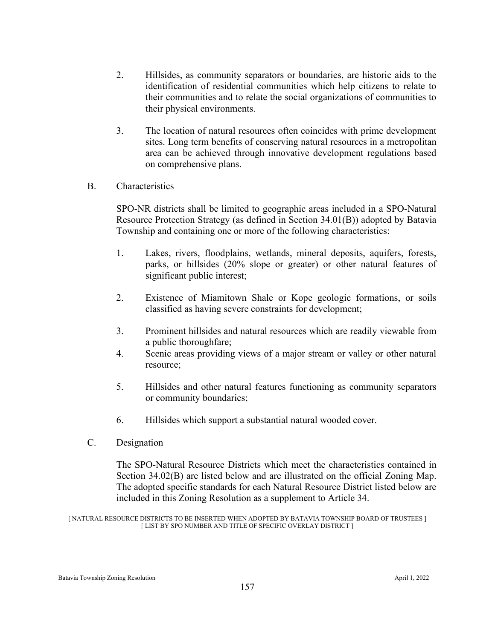- 2. Hillsides, as community separators or boundaries, are historic aids to the identification of residential communities which help citizens to relate to their communities and to relate the social organizations of communities to their physical environments.
- 3. The location of natural resources often coincides with prime development sites. Long term benefits of conserving natural resources in a metropolitan area can be achieved through innovative development regulations based on comprehensive plans.
- B. Characteristics

SPO-NR districts shall be limited to geographic areas included in a SPO-Natural Resource Protection Strategy (as defined in Section 34.01(B)) adopted by Batavia Township and containing one or more of the following characteristics:

- 1. Lakes, rivers, floodplains, wetlands, mineral deposits, aquifers, forests, parks, or hillsides (20% slope or greater) or other natural features of significant public interest;
- 2. Existence of Miamitown Shale or Kope geologic formations, or soils classified as having severe constraints for development;
- 3. Prominent hillsides and natural resources which are readily viewable from a public thoroughfare;
- 4. Scenic areas providing views of a major stream or valley or other natural resource;
- 5. Hillsides and other natural features functioning as community separators or community boundaries;
- 6. Hillsides which support a substantial natural wooded cover.
- C. Designation

The SPO-Natural Resource Districts which meet the characteristics contained in Section 34.02(B) are listed below and are illustrated on the official Zoning Map. The adopted specific standards for each Natural Resource District listed below are included in this Zoning Resolution as a supplement to Article 34.

[ NATURAL RESOURCE DISTRICTS TO BE INSERTED WHEN ADOPTED BY BATAVIA TOWNSHIP BOARD OF TRUSTEES ] [ LIST BY SPO NUMBER AND TITLE OF SPECIFIC OVERLAY DISTRICT ]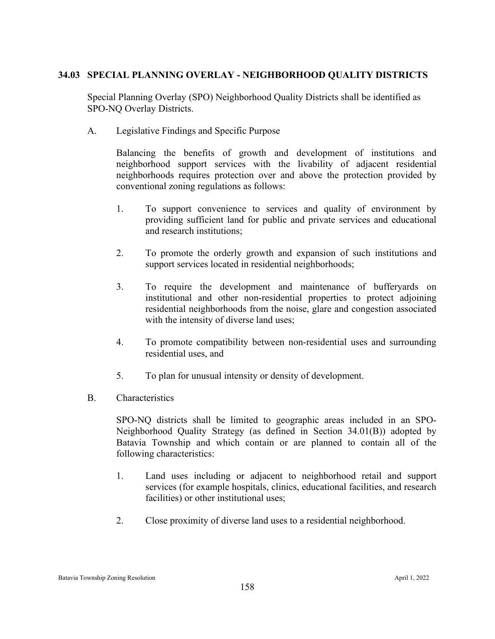## **34.03 SPECIAL PLANNING OVERLAY - NEIGHBORHOOD QUALITY DISTRICTS**

Special Planning Overlay (SPO) Neighborhood Quality Districts shall be identified as SPO-NQ Overlay Districts.

A. Legislative Findings and Specific Purpose

Balancing the benefits of growth and development of institutions and neighborhood support services with the livability of adjacent residential neighborhoods requires protection over and above the protection provided by conventional zoning regulations as follows:

- 1. To support convenience to services and quality of environment by providing sufficient land for public and private services and educational and research institutions;
- 2. To promote the orderly growth and expansion of such institutions and support services located in residential neighborhoods;
- 3. To require the development and maintenance of bufferyards on institutional and other non-residential properties to protect adjoining residential neighborhoods from the noise, glare and congestion associated with the intensity of diverse land uses;
- 4. To promote compatibility between non-residential uses and surrounding residential uses, and
- 5. To plan for unusual intensity or density of development.
- B. Characteristics

SPO-NQ districts shall be limited to geographic areas included in an SPO-Neighborhood Quality Strategy (as defined in Section 34.01(B)) adopted by Batavia Township and which contain or are planned to contain all of the following characteristics:

- 1. Land uses including or adjacent to neighborhood retail and support services (for example hospitals, clinics, educational facilities, and research facilities) or other institutional uses;
- 2. Close proximity of diverse land uses to a residential neighborhood.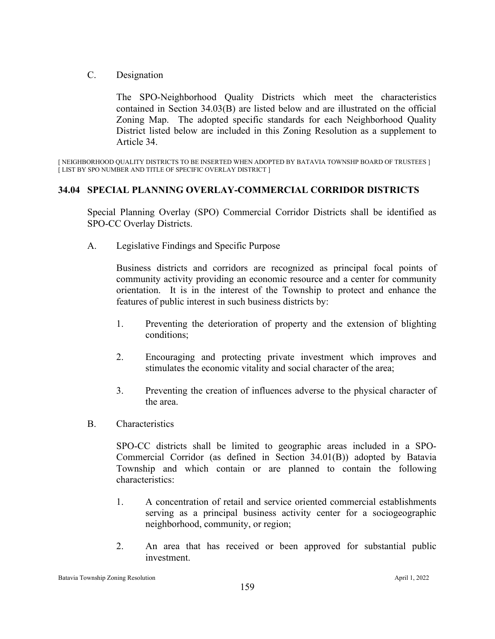C. Designation

The SPO-Neighborhood Quality Districts which meet the characteristics contained in Section 34.03(B) are listed below and are illustrated on the official Zoning Map. The adopted specific standards for each Neighborhood Quality District listed below are included in this Zoning Resolution as a supplement to Article 34.

[ NEIGHBORHOOD QUALITY DISTRICTS TO BE INSERTED WHEN ADOPTED BY BATAVIA TOWNSHP BOARD OF TRUSTEES ] LIST BY SPO NUMBER AND TITLE OF SPECIFIC OVERLAY DISTRICT ]

## **34.04 SPECIAL PLANNING OVERLAY-COMMERCIAL CORRIDOR DISTRICTS**

Special Planning Overlay (SPO) Commercial Corridor Districts shall be identified as SPO-CC Overlay Districts.

A. Legislative Findings and Specific Purpose

Business districts and corridors are recognized as principal focal points of community activity providing an economic resource and a center for community orientation. It is in the interest of the Township to protect and enhance the features of public interest in such business districts by:

- 1. Preventing the deterioration of property and the extension of blighting conditions;
- 2. Encouraging and protecting private investment which improves and stimulates the economic vitality and social character of the area;
- 3. Preventing the creation of influences adverse to the physical character of the area.
- B. Characteristics

SPO-CC districts shall be limited to geographic areas included in a SPO-Commercial Corridor (as defined in Section 34.01(B)) adopted by Batavia Township and which contain or are planned to contain the following characteristics:

- 1. A concentration of retail and service oriented commercial establishments serving as a principal business activity center for a sociogeographic neighborhood, community, or region;
- 2. An area that has received or been approved for substantial public investment.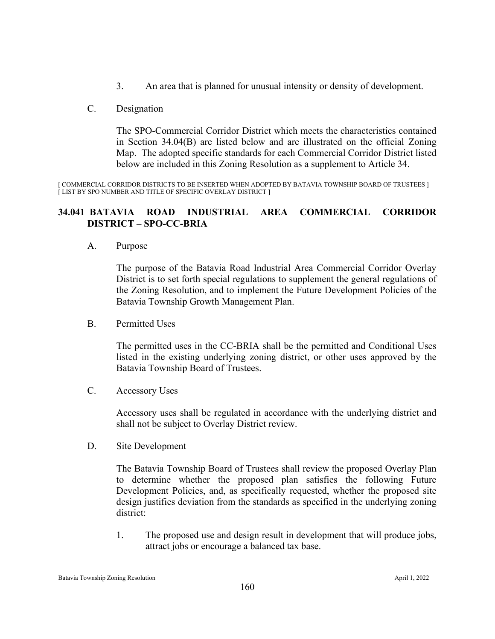- 3. An area that is planned for unusual intensity or density of development.
- C. Designation

The SPO-Commercial Corridor District which meets the characteristics contained in Section 34.04(B) are listed below and are illustrated on the official Zoning Map. The adopted specific standards for each Commercial Corridor District listed below are included in this Zoning Resolution as a supplement to Article 34.

[ COMMERCIAL CORRIDOR DISTRICTS TO BE INSERTED WHEN ADOPTED BY BATAVIA TOWNSHIP BOARD OF TRUSTEES ] [ LIST BY SPO NUMBER AND TITLE OF SPECIFIC OVERLAY DISTRICT ]

## **34.041 BATAVIA ROAD INDUSTRIAL AREA COMMERCIAL CORRIDOR DISTRICT – SPO-CC-BRIA**

A. Purpose

The purpose of the Batavia Road Industrial Area Commercial Corridor Overlay District is to set forth special regulations to supplement the general regulations of the Zoning Resolution, and to implement the Future Development Policies of the Batavia Township Growth Management Plan.

B. Permitted Uses

The permitted uses in the CC-BRIA shall be the permitted and Conditional Uses listed in the existing underlying zoning district, or other uses approved by the Batavia Township Board of Trustees.

C. Accessory Uses

Accessory uses shall be regulated in accordance with the underlying district and shall not be subject to Overlay District review.

D. Site Development

The Batavia Township Board of Trustees shall review the proposed Overlay Plan to determine whether the proposed plan satisfies the following Future Development Policies, and, as specifically requested, whether the proposed site design justifies deviation from the standards as specified in the underlying zoning district:

1. The proposed use and design result in development that will produce jobs, attract jobs or encourage a balanced tax base.

Batavia Township Zoning Resolution April 1, 2022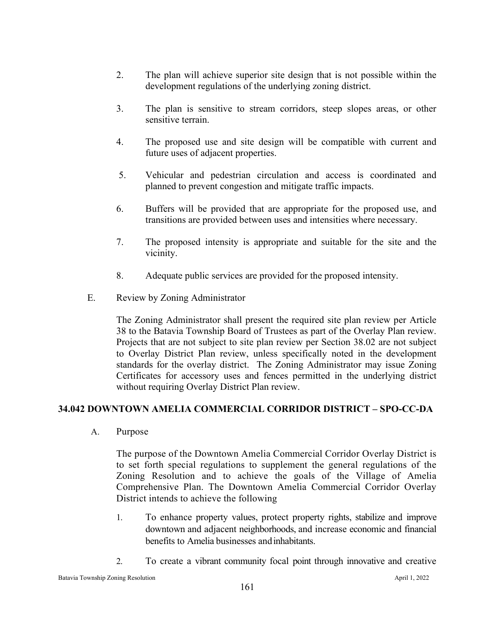- 2. The plan will achieve superior site design that is not possible within the development regulations of the underlying zoning district.
- 3. The plan is sensitive to stream corridors, steep slopes areas, or other sensitive terrain.
- 4. The proposed use and site design will be compatible with current and future uses of adjacent properties.
- 5. Vehicular and pedestrian circulation and access is coordinated and planned to prevent congestion and mitigate traffic impacts.
- 6. Buffers will be provided that are appropriate for the proposed use, and transitions are provided between uses and intensities where necessary.
- 7. The proposed intensity is appropriate and suitable for the site and the vicinity.
- 8. Adequate public services are provided for the proposed intensity.
- E. Review by Zoning Administrator

The Zoning Administrator shall present the required site plan review per Article 38 to the Batavia Township Board of Trustees as part of the Overlay Plan review. Projects that are not subject to site plan review per Section 38.02 are not subject to Overlay District Plan review, unless specifically noted in the development standards for the overlay district. The Zoning Administrator may issue Zoning Certificates for accessory uses and fences permitted in the underlying district without requiring Overlay District Plan review.

# **34.042 DOWNTOWN AMELIA COMMERCIAL CORRIDOR DISTRICT – SPO-CC-DA**

A. Purpose

The purpose of the Downtown Amelia Commercial Corridor Overlay District is to set forth special regulations to supplement the general regulations of the Zoning Resolution and to achieve the goals of the Village of Amelia Comprehensive Plan. The Downtown Amelia Commercial Corridor Overlay District intends to achieve the following

- 1. To enhance property values, protect property rights, stabilize and improve downtown and adjacent neighborhoods, and increase economic and financial benefits to Amelia businesses andinhabitants.
- 2. To create a vibrant community focal point through innovative and creative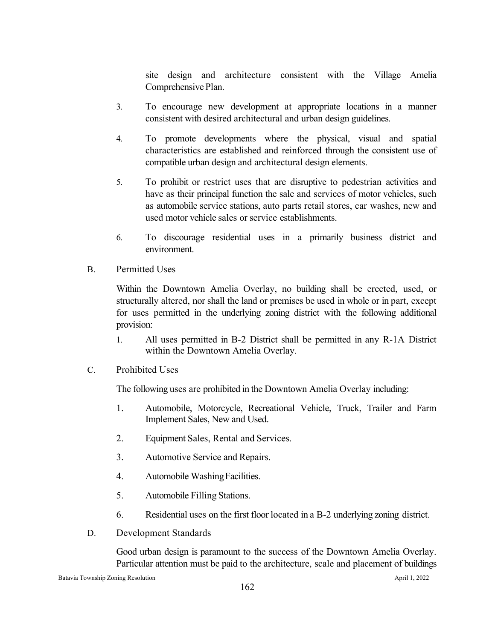site design and architecture consistent with the Village Amelia Comprehensive Plan.

- 3. To encourage new development at appropriate locations in a manner consistent with desired architectural and urban design guidelines.
- 4. To promote developments where the physical, visual and spatial characteristics are established and reinforced through the consistent use of compatible urban design and architectural design elements.
- 5. To prohibit or restrict uses that are disruptive to pedestrian activities and have as their principal function the sale and services of motor vehicles, such as automobile service stations, auto parts retail stores, car washes, new and used motor vehicle sales or service establishments.
- 6. To discourage residential uses in a primarily business district and environment.
- B. Permitted Uses

Within the Downtown Amelia Overlay, no building shall be erected, used, or structurally altered, nor shall the land or premises be used in whole or in part, except for uses permitted in the underlying zoning district with the following additional provision:

- 1. All uses permitted in B-2 District shall be permitted in any R-1A District within the Downtown Amelia Overlay.
- C. Prohibited Uses

The following uses are prohibited in the Downtown Amelia Overlay including:

- 1. Automobile, Motorcycle, Recreational Vehicle, Truck, Trailer and Farm Implement Sales, New and Used.
- 2. Equipment Sales, Rental and Services.
- 3. Automotive Service and Repairs.
- 4. Automobile WashingFacilities.
- 5. Automobile Filling Stations.
- 6. Residential uses on the first floor located in a B-2 underlying zoning district.
- D. Development Standards

Good urban design is paramount to the success of the Downtown Amelia Overlay. Particular attention must be paid to the architecture, scale and placement of buildings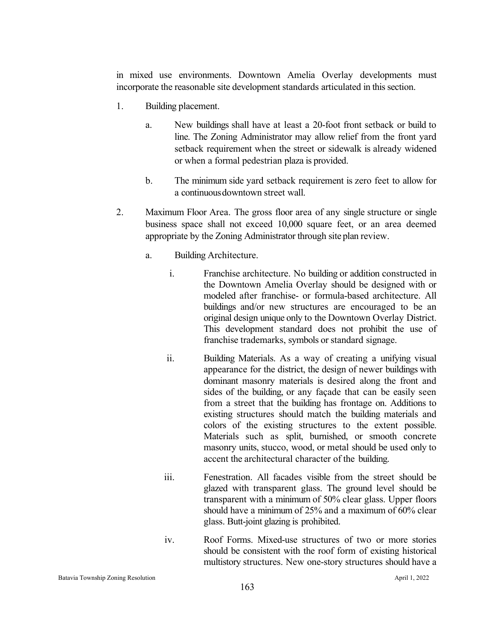in mixed use environments. Downtown Amelia Overlay developments must incorporate the reasonable site development standards articulated in this section.

- 1. Building placement.
	- a. New buildings shall have at least a 20-foot front setback or build to line. The Zoning Administrator may allow relief from the front yard setback requirement when the street or sidewalk is already widened or when a formal pedestrian plaza is provided.
	- b. The minimum side yard setback requirement is zero feet to allow for a continuousdowntown street wall.
- 2. Maximum Floor Area. The gross floor area of any single structure or single business space shall not exceed 10,000 square feet, or an area deemed appropriate by the Zoning Administrator through site plan review.
	- a. Building Architecture.
		- i. Franchise architecture. No building or addition constructed in the Downtown Amelia Overlay should be designed with or modeled after franchise- or formula-based architecture. All buildings and/or new structures are encouraged to be an original design unique only to the Downtown Overlay District. This development standard does not prohibit the use of franchise trademarks, symbols or standard signage.
		- ii. Building Materials. As a way of creating a unifying visual appearance for the district, the design of newer buildings with dominant masonry materials is desired along the front and sides of the building, or any façade that can be easily seen from a street that the building has frontage on. Additions to existing structures should match the building materials and colors of the existing structures to the extent possible. Materials such as split, burnished, or smooth concrete masonry units, stucco, wood, or metal should be used only to accent the architectural character of the building.
		- iii. Fenestration. All facades visible from the street should be glazed with transparent glass. The ground level should be transparent with a minimum of 50% clear glass. Upper floors should have a minimum of 25% and a maximum of 60% clear glass. Butt-joint glazing is prohibited.
		- iv. Roof Forms. Mixed-use structures of two or more stories should be consistent with the roof form of existing historical multistory structures. New one-story structures should have a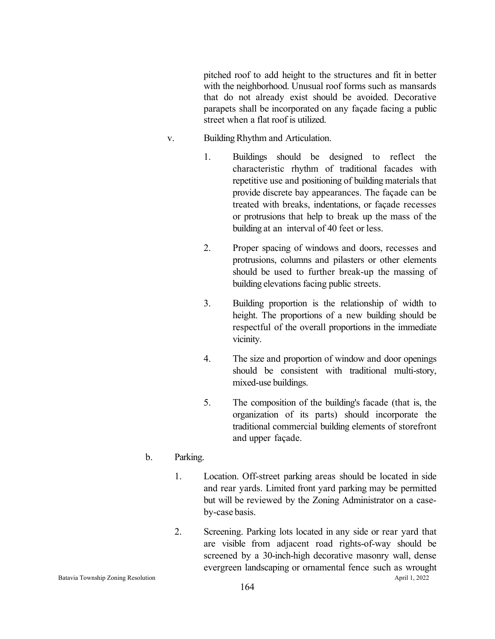pitched roof to add height to the structures and fit in better with the neighborhood. Unusual roof forms such as mansards that do not already exist should be avoided. Decorative parapets shall be incorporated on any façade facing a public street when a flat roof is utilized.

- v. Building Rhythm and Articulation.
	- 1. Buildings should be designed to reflect the characteristic rhythm of traditional facades with repetitive use and positioning of building materials that provide discrete bay appearances. The façade can be treated with breaks, indentations, or façade recesses or protrusions that help to break up the mass of the building at an interval of 40 feet or less.
	- 2. Proper spacing of windows and doors, recesses and protrusions, columns and pilasters or other elements should be used to further break-up the massing of building elevations facing public streets.
	- 3. Building proportion is the relationship of width to height. The proportions of a new building should be respectful of the overall proportions in the immediate vicinity.
	- 4. The size and proportion of window and door openings should be consistent with traditional multi-story, mixed-use buildings.
	- 5. The composition of the building's facade (that is, the organization of its parts) should incorporate the traditional commercial building elements of storefront and upper façade.

### b. Parking.

- 1. Location. Off-street parking areas should be located in side and rear yards. Limited front yard parking may be permitted but will be reviewed by the Zoning Administrator on a caseby-case basis.
- 2. Screening. Parking lots located in any side or rear yard that are visible from adjacent road rights-of-way should be screened by a 30-inch-high decorative masonry wall, dense evergreen landscaping or ornamental fence such as wrought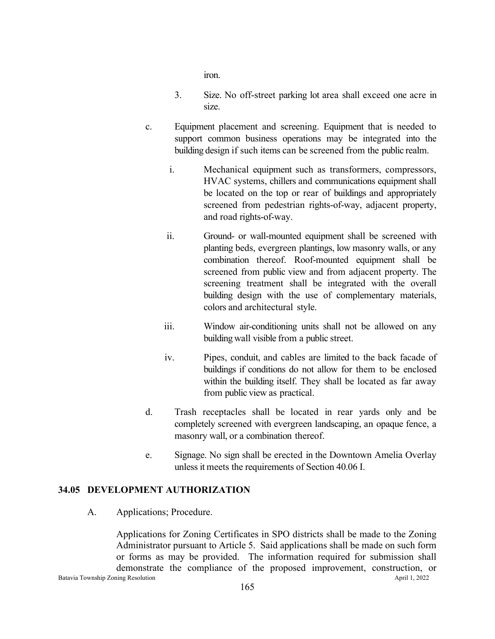iron.

- 3. Size. No off-street parking lot area shall exceed one acre in size.
- c. Equipment placement and screening. Equipment that is needed to support common business operations may be integrated into the building design if such items can be screened from the public realm.
	- i. Mechanical equipment such as transformers, compressors, HVAC systems, chillers and communications equipment shall be located on the top or rear of buildings and appropriately screened from pedestrian rights-of-way, adjacent property, and road rights-of-way.
	- ii. Ground- or wall-mounted equipment shall be screened with planting beds, evergreen plantings, low masonry walls, or any combination thereof. Roof-mounted equipment shall be screened from public view and from adjacent property. The screening treatment shall be integrated with the overall building design with the use of complementary materials, colors and architectural style.
	- iii. Window air-conditioning units shall not be allowed on any building wall visible from a public street.
	- iv. Pipes, conduit, and cables are limited to the back facade of buildings if conditions do not allow for them to be enclosed within the building itself. They shall be located as far away from public view as practical.
- d. Trash receptacles shall be located in rear yards only and be completely screened with evergreen landscaping, an opaque fence, a masonry wall, or a combination thereof.
- e. Signage. No sign shall be erected in the Downtown Amelia Overlay unless it meets the requirements of Section 40.06 I.

#### **34.05 DEVELOPMENT AUTHORIZATION**

A. Applications; Procedure.

Batavia Township Zoning Resolution April 1, 2022 Applications for Zoning Certificates in SPO districts shall be made to the Zoning Administrator pursuant to Article 5. Said applications shall be made on such form or forms as may be provided. The information required for submission shall demonstrate the compliance of the proposed improvement, construction, or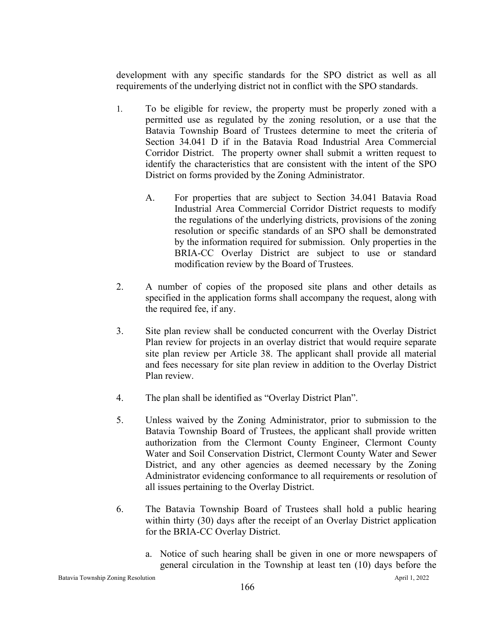development with any specific standards for the SPO district as well as all requirements of the underlying district not in conflict with the SPO standards.

- 1. To be eligible for review, the property must be properly zoned with a permitted use as regulated by the zoning resolution, or a use that the Batavia Township Board of Trustees determine to meet the criteria of Section 34.041 D if in the Batavia Road Industrial Area Commercial Corridor District. The property owner shall submit a written request to identify the characteristics that are consistent with the intent of the SPO District on forms provided by the Zoning Administrator.
	- A. For properties that are subject to Section 34.041 Batavia Road Industrial Area Commercial Corridor District requests to modify the regulations of the underlying districts, provisions of the zoning resolution or specific standards of an SPO shall be demonstrated by the information required for submission. Only properties in the BRIA-CC Overlay District are subject to use or standard modification review by the Board of Trustees.
- 2. A number of copies of the proposed site plans and other details as specified in the application forms shall accompany the request, along with the required fee, if any.
- 3. Site plan review shall be conducted concurrent with the Overlay District Plan review for projects in an overlay district that would require separate site plan review per Article 38. The applicant shall provide all material and fees necessary for site plan review in addition to the Overlay District Plan review.
- 4. The plan shall be identified as "Overlay District Plan".
- 5. Unless waived by the Zoning Administrator, prior to submission to the Batavia Township Board of Trustees, the applicant shall provide written authorization from the Clermont County Engineer, Clermont County Water and Soil Conservation District, Clermont County Water and Sewer District, and any other agencies as deemed necessary by the Zoning Administrator evidencing conformance to all requirements or resolution of all issues pertaining to the Overlay District.
- 6. The Batavia Township Board of Trustees shall hold a public hearing within thirty (30) days after the receipt of an Overlay District application for the BRIA-CC Overlay District.
	- a. Notice of such hearing shall be given in one or more newspapers of general circulation in the Township at least ten (10) days before the